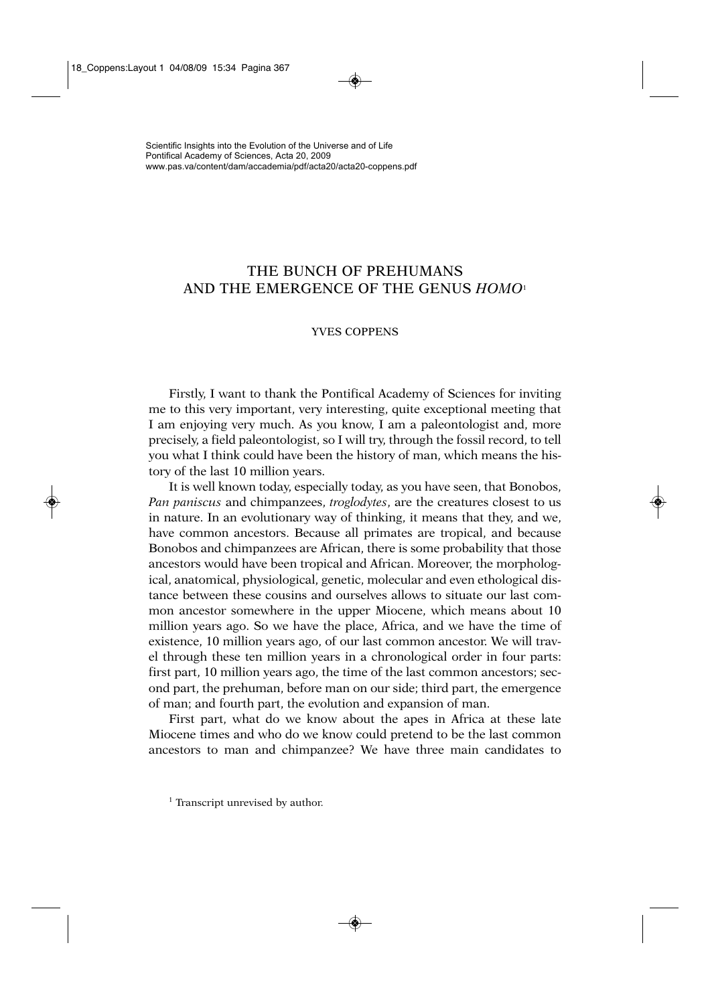## THE BUNCH OF PREHUMANS AND THE EMERGENCE OF THE GENUS *HOMO*<sup>1</sup>

## YVES COPPENS

Firstly, I want to thank the Pontifical Academy of Sciences for inviting me to this very important, very interesting, quite exceptional meeting that I am enjoying very much. As you know, I am a paleontologist and, more precisely, a field paleontologist, so I will try, through the fossil record, to tell you what I think could have been the history of man, which means the history of the last 10 million years.

It is well known today, especially today, as you have seen, that Bonobos, *Pan paniscus* and chimpanzees, *troglodytes*, are the creatures closest to us in nature. In an evolutionary way of thinking, it means that they, and we, have common ancestors. Because all primates are tropical, and because Bonobos and chimpanzees are African, there is some probability that those ancestors would have been tropical and African. Moreover, the morphological, anatomical, physiological, genetic, molecular and even ethological distance between these cousins and ourselves allows to situate our last common ancestor somewhere in the upper Miocene, which means about 10 million years ago. So we have the place, Africa, and we have the time of existence, 10 million years ago, of our last common ancestor. We will travel through these ten million years in a chronological order in four parts: first part, 10 million years ago, the time of the last common ancestors; second part, the prehuman, before man on our side; third part, the emergence of man; and fourth part, the evolution and expansion of man.

First part, what do we know about the apes in Africa at these late Miocene times and who do we know could pretend to be the last common ancestors to man and chimpanzee? We have three main candidates to

<sup>&</sup>lt;sup>1</sup> Transcript unrevised by author.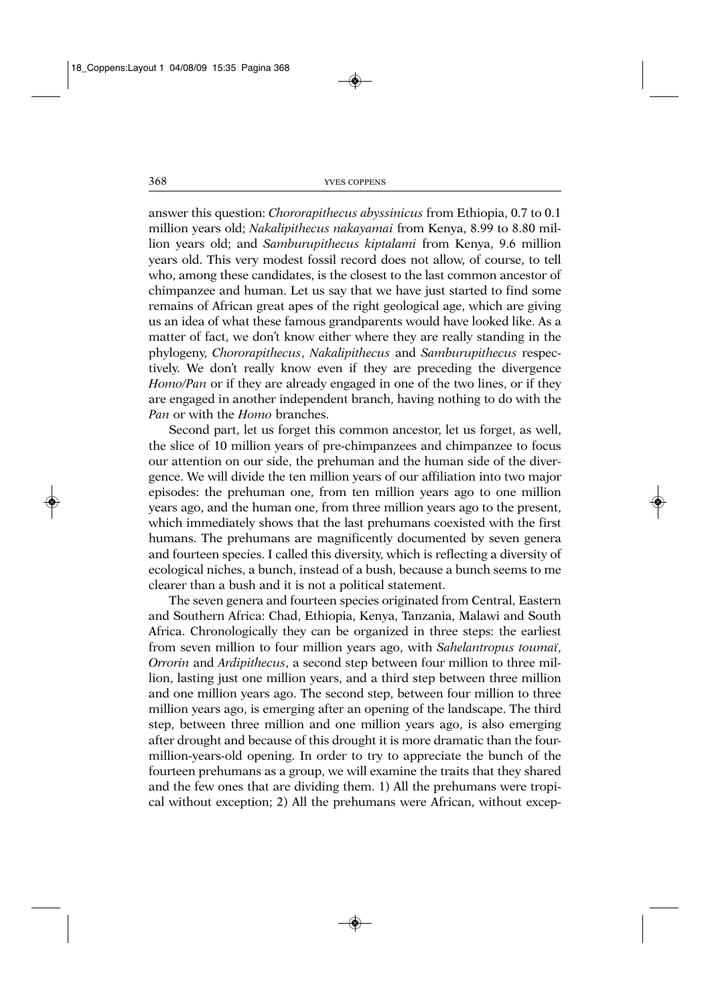answer this question: *Chororapithecus abyssinicus* from Ethiopia, 0.7 to 0.1 million years old; *Nakalipithecus nakayamai* from Kenya, 8.99 to 8.80 million years old; and *Samburupithecus kiptalami* from Kenya, 9.6 million years old. This very modest fossil record does not allow, of course, to tell who, among these candidates, is the closest to the last common ancestor of chimpanzee and human. Let us say that we have just started to find some remains of African great apes of the right geological age, which are giving us an idea of what these famous grandparents would have looked like. As a matter of fact, we don't know either where they are really standing in the phylogeny, *Chororapithecus*, *Nakalipithecus* and *Samburupithecus* respectively. We don't really know even if they are preceding the divergence *Homo/Pan* or if they are already engaged in one of the two lines, or if they are engaged in another independent branch, having nothing to do with the *Pan* or with the *Homo* branches.

Second part, let us forget this common ancestor, let us forget, as well, the slice of 10 million years of pre-chimpanzees and chimpanzee to focus our attention on our side, the prehuman and the human side of the divergence. We will divide the ten million years of our affiliation into two major episodes: the prehuman one, from ten million years ago to one million years ago, and the human one, from three million years ago to the present, which immediately shows that the last prehumans coexisted with the first humans. The prehumans are magnificently documented by seven genera and fourteen species. I called this diversity, which is reflecting a diversity of ecological niches, a bunch, instead of a bush, because a bunch seems to me clearer than a bush and it is not a political statement.

The seven genera and fourteen species originated from Central, Eastern and Southern Africa: Chad, Ethiopia, Kenya, Tanzania, Malawi and South Africa. Chronologically they can be organized in three steps: the earliest from seven million to four million years ago, with *Sahelantropus toumaï*, *Orrorin* and *Ardipithecus*, a second step between four million to three million, lasting just one million years, and a third step between three million and one million years ago. The second step, between four million to three million years ago, is emerging after an opening of the landscape. The third step, between three million and one million years ago, is also emerging after drought and because of this drought it is more dramatic than the fourmillion-years-old opening. In order to try to appreciate the bunch of the fourteen prehumans as a group, we will examine the traits that they shared and the few ones that are dividing them. 1) All the prehumans were tropical without exception; 2) All the prehumans were African, without excep-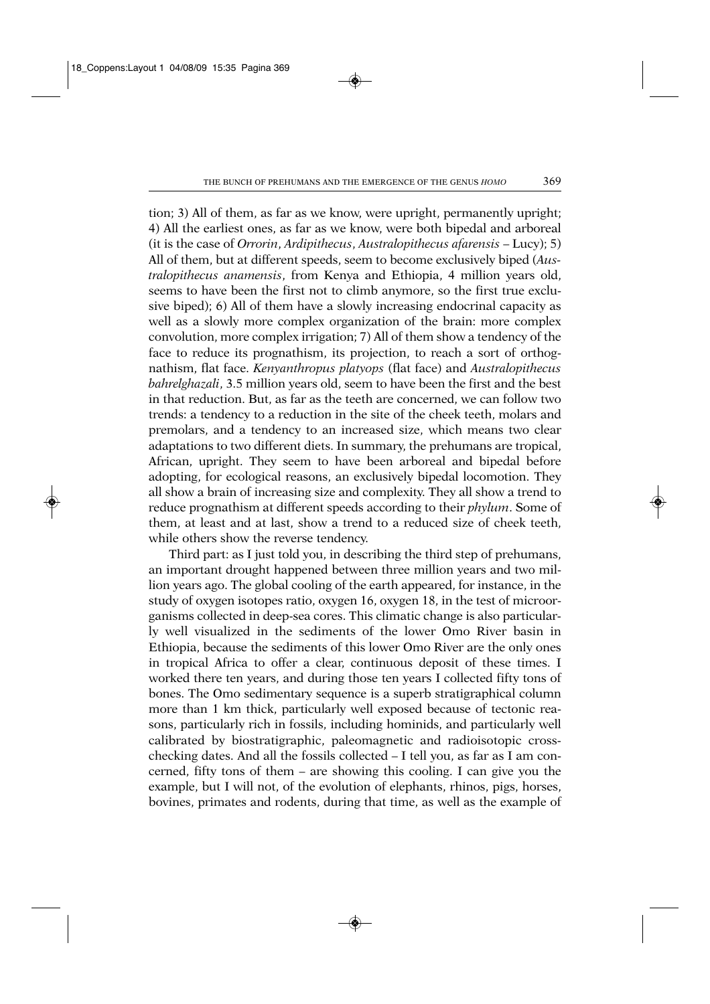tion; 3) All of them, as far as we know, were upright, permanently upright; 4) All the earliest ones, as far as we know, were both bipedal and arboreal (it is the case of *Orrorin*, *Ardipithecus*, *Australopithecus afarensis* – Lucy); 5) All of them, but at different speeds, seem to become exclusively biped (*Australopithecus anamensis*, from Kenya and Ethiopia, 4 million years old, seems to have been the first not to climb anymore, so the first true exclusive biped); 6) All of them have a slowly increasing endocrinal capacity as well as a slowly more complex organization of the brain: more complex convolution, more complex irrigation; 7) All of them show a tendency of the face to reduce its prognathism, its projection, to reach a sort of orthognathism, flat face. *Kenyanthropus platyops* (flat face) and *Australopithecus bahrelghazali*, 3.5 million years old, seem to have been the first and the best in that reduction. But, as far as the teeth are concerned, we can follow two trends: a tendency to a reduction in the site of the cheek teeth, molars and premolars, and a tendency to an increased size, which means two clear adaptations to two different diets. In summary, the prehumans are tropical, African, upright. They seem to have been arboreal and bipedal before adopting, for ecological reasons, an exclusively bipedal locomotion. They all show a brain of increasing size and complexity. They all show a trend to reduce prognathism at different speeds according to their *phylum*. Some of them, at least and at last, show a trend to a reduced size of cheek teeth, while others show the reverse tendency.

Third part: as I just told you, in describing the third step of prehumans, an important drought happened between three million years and two million years ago. The global cooling of the earth appeared, for instance, in the study of oxygen isotopes ratio, oxygen 16, oxygen 18, in the test of microorganisms collected in deep-sea cores. This climatic change is also particularly well visualized in the sediments of the lower Omo River basin in Ethiopia, because the sediments of this lower Omo River are the only ones in tropical Africa to offer a clear, continuous deposit of these times. I worked there ten years, and during those ten years I collected fifty tons of bones. The Omo sedimentary sequence is a superb stratigraphical column more than 1 km thick, particularly well exposed because of tectonic reasons, particularly rich in fossils, including hominids, and particularly well calibrated by biostratigraphic, paleomagnetic and radioisotopic crosschecking dates. And all the fossils collected – I tell you, as far as I am concerned, fifty tons of them – are showing this cooling. I can give you the example, but I will not, of the evolution of elephants, rhinos, pigs, horses, bovines, primates and rodents, during that time, as well as the example of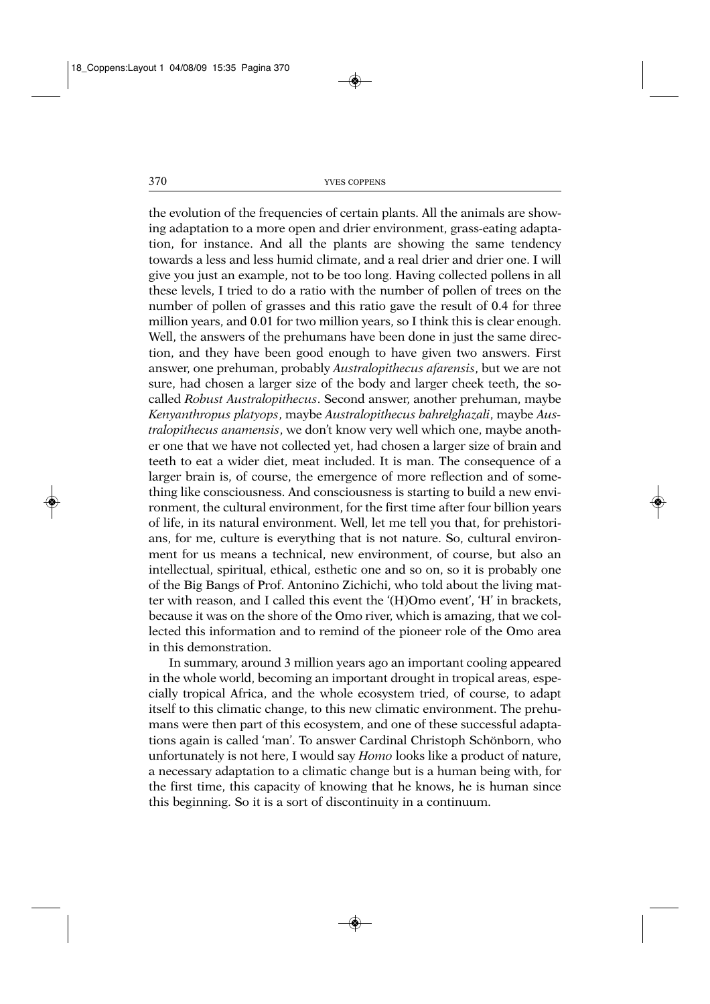the evolution of the frequencies of certain plants. All the animals are showing adaptation to a more open and drier environment, grass-eating adaptation, for instance. And all the plants are showing the same tendency towards a less and less humid climate, and a real drier and drier one. I will give you just an example, not to be too long. Having collected pollens in all these levels, I tried to do a ratio with the number of pollen of trees on the number of pollen of grasses and this ratio gave the result of 0.4 for three million years, and 0.01 for two million years, so I think this is clear enough. Well, the answers of the prehumans have been done in just the same direction, and they have been good enough to have given two answers. First answer, one prehuman, probably *Australopithecus afarensis*, but we are not sure, had chosen a larger size of the body and larger cheek teeth, the socalled *Robust Australopithecus*. Second answer, another prehuman, maybe *Kenyanthropus platyops*, maybe *Australopithecus bahrelghazali*, maybe *Australopithecus anamensis*, we don't know very well which one, maybe another one that we have not collected yet, had chosen a larger size of brain and teeth to eat a wider diet, meat included. It is man. The consequence of a larger brain is, of course, the emergence of more reflection and of something like consciousness. And consciousness is starting to build a new environment, the cultural environment, for the first time after four billion years of life, in its natural environment. Well, let me tell you that, for prehistorians, for me, culture is everything that is not nature. So, cultural environment for us means a technical, new environment, of course, but also an intellectual, spiritual, ethical, esthetic one and so on, so it is probably one of the Big Bangs of Prof. Antonino Zichichi, who told about the living matter with reason, and I called this event the '(H)Omo event', 'H' in brackets, because it was on the shore of the Omo river, which is amazing, that we collected this information and to remind of the pioneer role of the Omo area in this demonstration.

In summary, around 3 million years ago an important cooling appeared in the whole world, becoming an important drought in tropical areas, especially tropical Africa, and the whole ecosystem tried, of course, to adapt itself to this climatic change, to this new climatic environment. The prehumans were then part of this ecosystem, and one of these successful adaptations again is called 'man'. To answer Cardinal Christoph Schönborn, who unfortunately is not here, I would say *Homo* looks like a product of nature, a necessary adaptation to a climatic change but is a human being with, for the first time, this capacity of knowing that he knows, he is human since this beginning. So it is a sort of discontinuity in a continuum.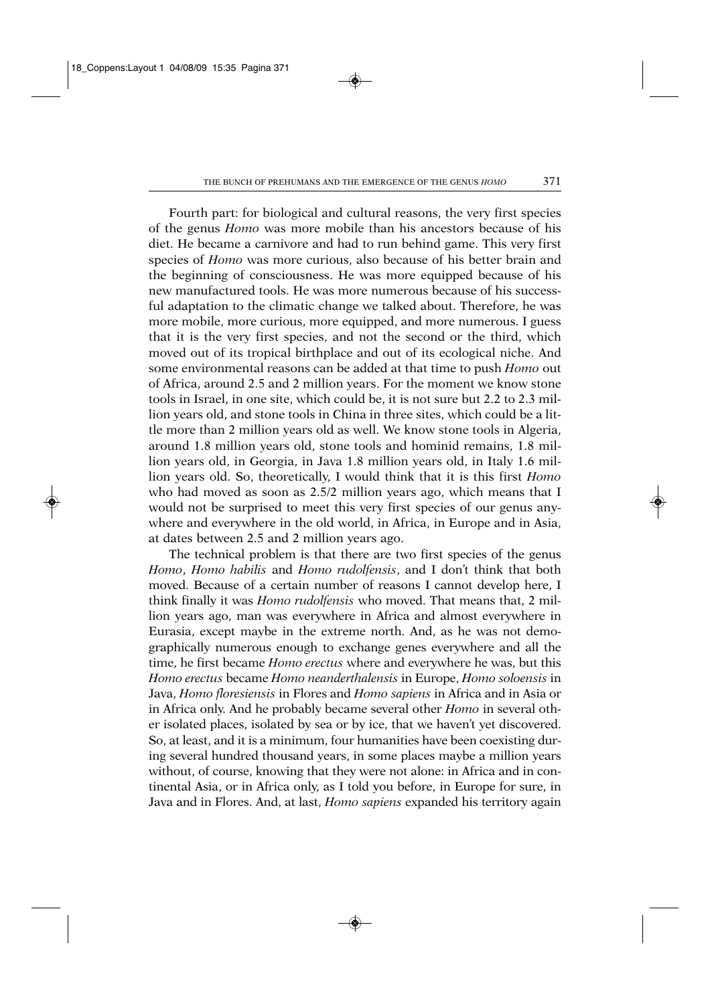Fourth part: for biological and cultural reasons, the very first species of the genus *Homo* was more mobile than his ancestors because of his diet. He became a carnivore and had to run behind game. This very first species of *Homo* was more curious, also because of his better brain and the beginning of consciousness. He was more equipped because of his new manufactured tools. He was more numerous because of his successful adaptation to the climatic change we talked about. Therefore, he was more mobile, more curious, more equipped, and more numerous. I guess that it is the very first species, and not the second or the third, which moved out of its tropical birthplace and out of its ecological niche. And some environmental reasons can be added at that time to push *Homo* out of Africa, around 2.5 and 2 million years. For the moment we know stone tools in Israel, in one site, which could be, it is not sure but 2.2 to 2.3 million years old, and stone tools in China in three sites, which could be a little more than 2 million years old as well. We know stone tools in Algeria, around 1.8 million years old, stone tools and hominid remains, 1.8 million years old, in Georgia, in Java 1.8 million years old, in Italy 1.6 million years old. So, theoretically, I would think that it is this first *Homo* who had moved as soon as 2.5/2 million years ago, which means that I would not be surprised to meet this very first species of our genus anywhere and everywhere in the old world, in Africa, in Europe and in Asia, at dates between 2.5 and 2 million years ago.

The technical problem is that there are two first species of the genus *Homo*, *Homo habilis* and *Homo rudolfensis*, and I don't think that both moved. Because of a certain number of reasons I cannot develop here, I think finally it was *Homo rudolfensis* who moved. That means that, 2 million years ago, man was everywhere in Africa and almost everywhere in Eurasia, except maybe in the extreme north. And, as he was not demographically numerous enough to exchange genes everywhere and all the time, he first became *Homo erectus* where and everywhere he was, but this *Homo erectus* became *Homo neanderthalensis* in Europe, *Homo soloensis* in Java, *Homo floresiensis* in Flores and *Homo sapiens* in Africa and in Asia or in Africa only. And he probably became several other *Homo* in several other isolated places, isolated by sea or by ice, that we haven't yet discovered. So, at least, and it is a minimum, four humanities have been coexisting during several hundred thousand years, in some places maybe a million years without, of course, knowing that they were not alone: in Africa and in continental Asia, or in Africa only, as I told you before, in Europe for sure, in Java and in Flores. And, at last, *Homo sapiens* expanded his territory again